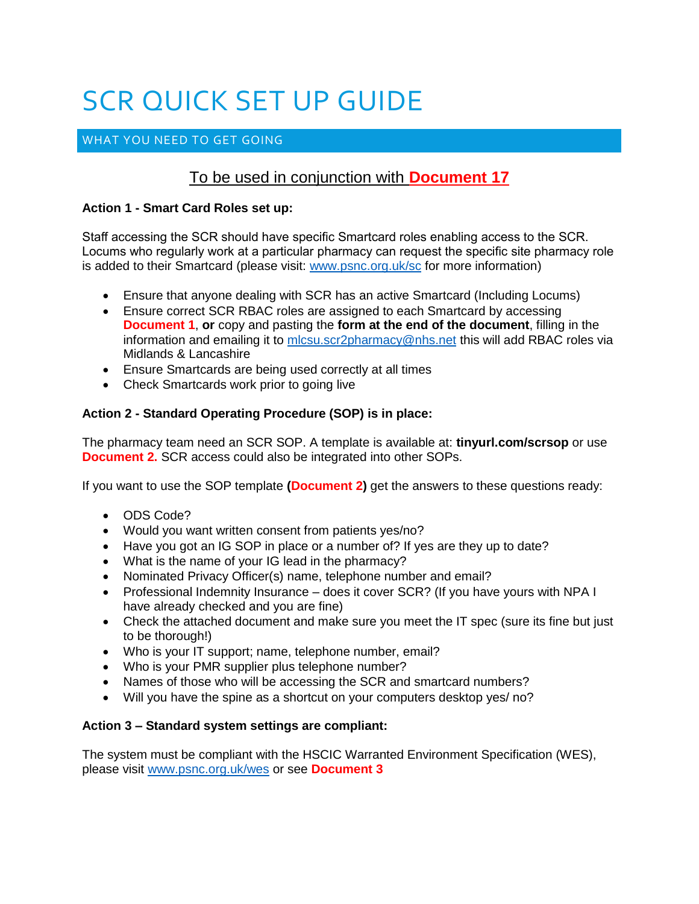# SCR QUICK SET UP GUIDE

# WHAT YOU NEED TO GET GOING

# To be used in conjunction with **Document 17**

#### **Action 1 - Smart Card Roles set up:**

Staff accessing the SCR should have specific Smartcard roles enabling access to the SCR. Locums who regularly work at a particular pharmacy can request the specific site pharmacy role is added to their Smartcard (please visit: [www.psnc.org.uk/sc](http://www.psnc.org.uk/sc) for more information)

- Ensure that anyone dealing with SCR has an active Smartcard (Including Locums)
- Ensure correct SCR RBAC roles are assigned to each Smartcard by accessing **Document 1**, **or** copy and pasting the **form at the end of the document**, filling in the information and emailing it to [mlcsu.scr2pharmacy@nhs.net](mailto:mlcsu.scr2pharmacy@nhs.net) this will add RBAC roles via Midlands & Lancashire
- Ensure Smartcards are being used correctly at all times
- Check Smartcards work prior to going live

#### **Action 2 - Standard Operating Procedure (SOP) is in place:**

The pharmacy team need an SCR SOP. A template is available at: **tinyurl.com/scrsop** or use **Document 2.** SCR access could also be integrated into other SOPs.

If you want to use the SOP template **(Document 2)** get the answers to these questions ready:

- ODS Code?
- Would you want written consent from patients yes/no?
- Have you got an IG SOP in place or a number of? If yes are they up to date?
- What is the name of your IG lead in the pharmacy?
- Nominated Privacy Officer(s) name, telephone number and email?
- Professional Indemnity Insurance does it cover SCR? (If you have yours with NPA I have already checked and you are fine)
- Check the attached document and make sure you meet the IT spec (sure its fine but just to be thorough!)
- Who is your IT support; name, telephone number, email?
- Who is your PMR supplier plus telephone number?
- Names of those who will be accessing the SCR and smartcard numbers?
- Will you have the spine as a shortcut on your computers desktop yes/ no?

#### **Action 3 – Standard system settings are compliant:**

The system must be compliant with the HSCIC Warranted Environment Specification (WES), please visit [www.psnc.org.uk/wes](http://www.psnc.org.uk/wes) or see **Document 3**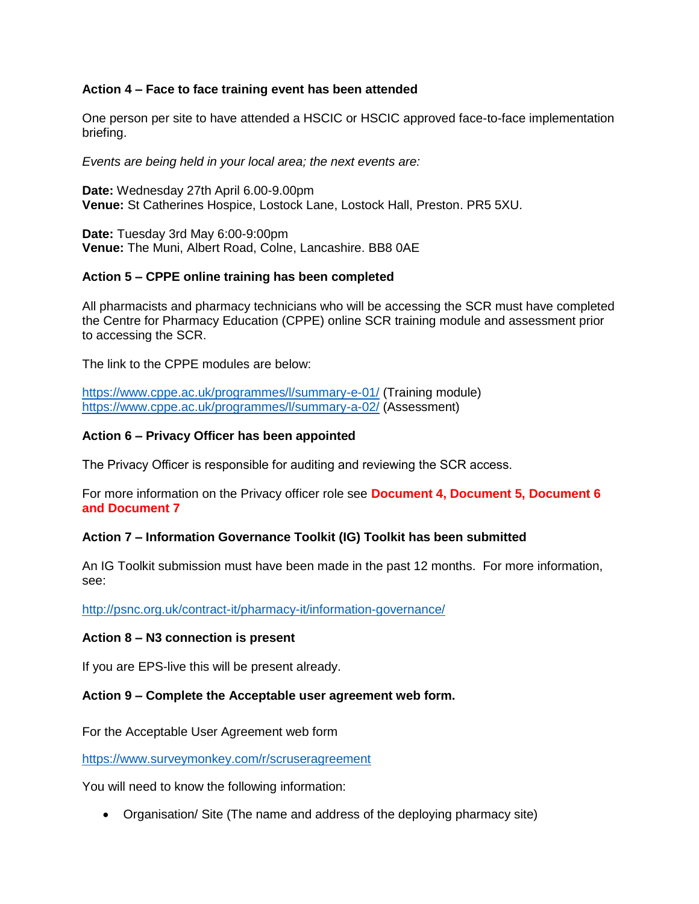#### **Action 4 – Face to face training event has been attended**

One person per site to have attended a HSCIC or HSCIC approved face-to-face implementation briefing.

*Events are being held in your local area; the next events are:*

**Date:** Wednesday 27th April 6.00-9.00pm **Venue:** St Catherines Hospice, Lostock Lane, Lostock Hall, Preston. PR5 5XU.

**Date:** Tuesday 3rd May 6:00-9:00pm **Venue:** The Muni, Albert Road, Colne, Lancashire. BB8 0AE

#### **Action 5 – CPPE online training has been completed**

All pharmacists and pharmacy technicians who will be accessing the SCR must have completed the Centre for Pharmacy Education (CPPE) online SCR training module and assessment prior to accessing the SCR.

The link to the CPPE modules are below:

<https://www.cppe.ac.uk/programmes/l/summary-e-01/> (Training module) <https://www.cppe.ac.uk/programmes/l/summary-a-02/> (Assessment)

#### **Action 6 – Privacy Officer has been appointed**

The Privacy Officer is responsible for auditing and reviewing the SCR access.

For more information on the Privacy officer role see **Document 4, Document 5, Document 6 and Document 7**

#### **Action 7 – Information Governance Toolkit (IG) Toolkit has been submitted**

An IG Toolkit submission must have been made in the past 12 months. For more information, see:

<http://psnc.org.uk/contract-it/pharmacy-it/information-governance/>

#### **Action 8 – N3 connection is present**

If you are EPS-live this will be present already.

#### **Action 9 – Complete the Acceptable user agreement web form.**

For the Acceptable User Agreement web form

<https://www.surveymonkey.com/r/scruseragreement>

You will need to know the following information:

Organisation/ Site (The name and address of the deploying pharmacy site)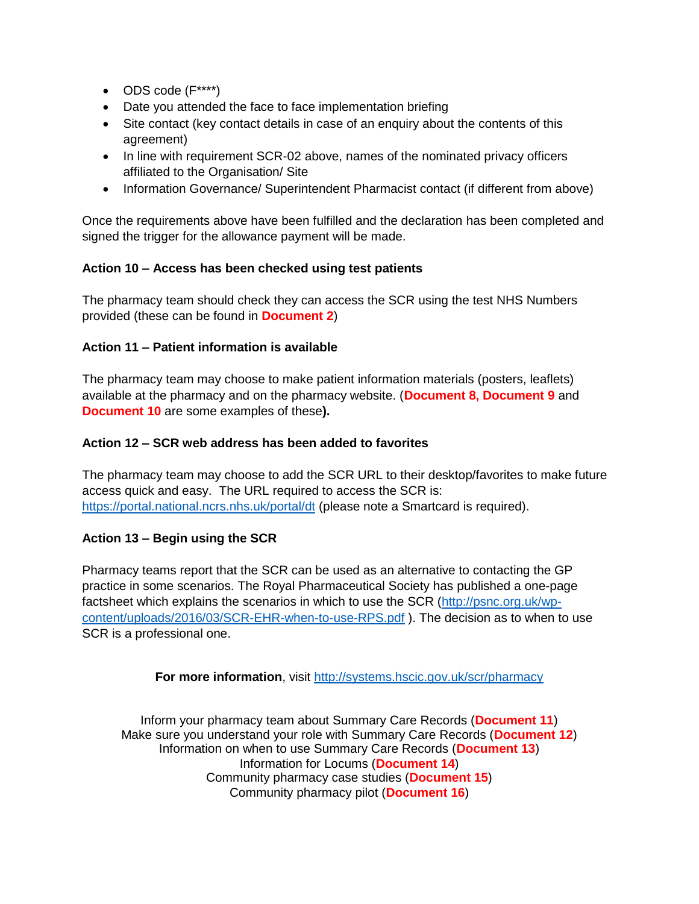- $\bullet$  ODS code  $(F^{***})$
- Date you attended the face to face implementation briefing
- Site contact (key contact details in case of an enquiry about the contents of this agreement)
- In line with requirement SCR-02 above, names of the nominated privacy officers affiliated to the Organisation/ Site
- Information Governance/ Superintendent Pharmacist contact (if different from above)

Once the requirements above have been fulfilled and the declaration has been completed and signed the trigger for the allowance payment will be made.

#### **Action 10 – Access has been checked using test patients**

The pharmacy team should check they can access the SCR using the test NHS Numbers provided (these can be found in **Document 2**)

#### **Action 11 – Patient information is available**

The pharmacy team may choose to make patient information materials (posters, leaflets) available at the pharmacy and on the pharmacy website. (**Document 8, Document 9** and **Document 10** are some examples of these**).**

#### **Action 12 – SCR web address has been added to favorites**

The pharmacy team may choose to add the SCR URL to their desktop/favorites to make future access quick and easy. The URL required to access the SCR is: <https://portal.national.ncrs.nhs.uk/portal/dt> (please note a Smartcard is required).

### **Action 13 – Begin using the SCR**

Pharmacy teams report that the SCR can be used as an alternative to contacting the GP practice in some scenarios. The Royal Pharmaceutical Society has published a one-page factsheet which explains the scenarios in which to use the SCR [\(http://psnc.org.uk/wp](http://psnc.org.uk/wp-content/uploads/2016/03/SCR-EHR-when-to-use-RPS.pdf)[content/uploads/2016/03/SCR-EHR-when-to-use-RPS.pdf](http://psnc.org.uk/wp-content/uploads/2016/03/SCR-EHR-when-to-use-RPS.pdf) ). The decision as to when to use SCR is a professional one.

For more information, visit<http://systems.hscic.gov.uk/scr/pharmacy>

Inform your pharmacy team about Summary Care Records (**Document 11**) Make sure you understand your role with Summary Care Records (**Document 12**) Information on when to use Summary Care Records (**Document 13**) Information for Locums (**Document 14**) Community pharmacy case studies (**Document 15**) Community pharmacy pilot (**Document 16**)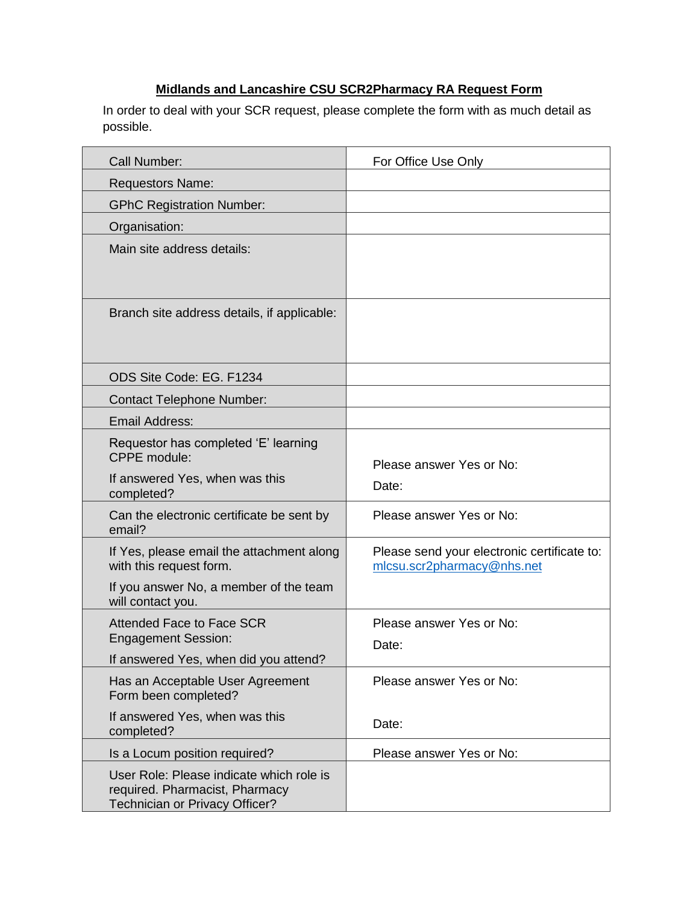# **Midlands and Lancashire CSU SCR2Pharmacy RA Request Form**

In order to deal with your SCR request, please complete the form with as much detail as possible.

| Call Number:                                                                                                 | For Office Use Only                                                       |
|--------------------------------------------------------------------------------------------------------------|---------------------------------------------------------------------------|
| <b>Requestors Name:</b>                                                                                      |                                                                           |
| <b>GPhC Registration Number:</b>                                                                             |                                                                           |
| Organisation:                                                                                                |                                                                           |
| Main site address details:                                                                                   |                                                                           |
| Branch site address details, if applicable:                                                                  |                                                                           |
| ODS Site Code: EG. F1234                                                                                     |                                                                           |
| <b>Contact Telephone Number:</b>                                                                             |                                                                           |
| <b>Email Address:</b>                                                                                        |                                                                           |
| Requestor has completed 'E' learning<br><b>CPPE</b> module:                                                  | Please answer Yes or No:                                                  |
| If answered Yes, when was this<br>completed?                                                                 | Date:                                                                     |
| Can the electronic certificate be sent by<br>email?                                                          | Please answer Yes or No:                                                  |
| If Yes, please email the attachment along<br>with this request form.                                         | Please send your electronic certificate to:<br>mlcsu.scr2pharmacy@nhs.net |
| If you answer No, a member of the team<br>will contact you.                                                  |                                                                           |
| <b>Attended Face to Face SCR</b>                                                                             | Please answer Yes or No:                                                  |
| <b>Engagement Session:</b>                                                                                   | Date:                                                                     |
| If answered Yes, when did you attend?                                                                        | Please answer Yes or No:                                                  |
| Has an Acceptable User Agreement<br>Form been completed?                                                     |                                                                           |
| If answered Yes, when was this<br>completed?                                                                 | Date:                                                                     |
| Is a Locum position required?                                                                                | Please answer Yes or No:                                                  |
| User Role: Please indicate which role is<br>required. Pharmacist, Pharmacy<br>Technician or Privacy Officer? |                                                                           |